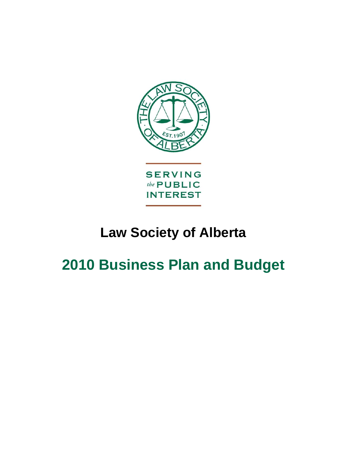

# **Law Society of Alberta**

# **2010 Business Plan and Budget**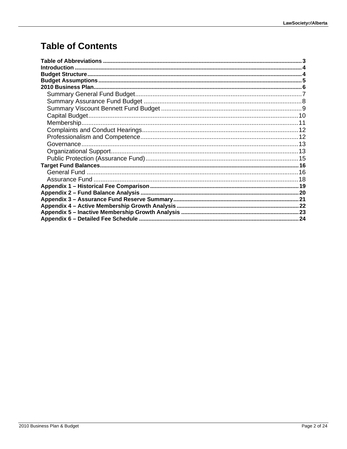# **Table of Contents**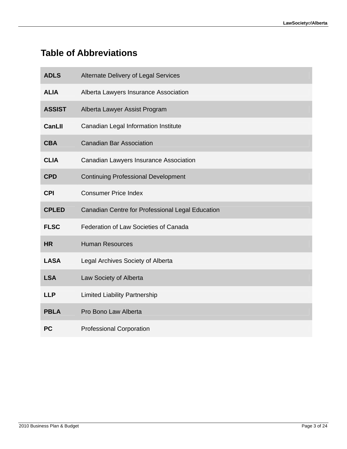# <span id="page-2-0"></span>**Table of Abbreviations**

| <b>ADLS</b>   | Alternate Delivery of Legal Services             |
|---------------|--------------------------------------------------|
| <b>ALIA</b>   | Alberta Lawyers Insurance Association            |
| <b>ASSIST</b> | Alberta Lawyer Assist Program                    |
| <b>CanLII</b> | Canadian Legal Information Institute             |
| <b>CBA</b>    | <b>Canadian Bar Association</b>                  |
| <b>CLIA</b>   | <b>Canadian Lawyers Insurance Association</b>    |
| <b>CPD</b>    | <b>Continuing Professional Development</b>       |
| <b>CPI</b>    | <b>Consumer Price Index</b>                      |
|               |                                                  |
| <b>CPLED</b>  | Canadian Centre for Professional Legal Education |
| <b>FLSC</b>   | Federation of Law Societies of Canada            |
| <b>HR</b>     | <b>Human Resources</b>                           |
| <b>LASA</b>   | Legal Archives Society of Alberta                |
| <b>LSA</b>    | Law Society of Alberta                           |
| <b>LLP</b>    | <b>Limited Liability Partnership</b>             |
| <b>PBLA</b>   | Pro Bono Law Alberta                             |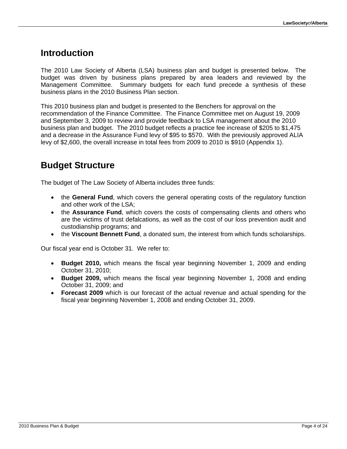### <span id="page-3-0"></span>**Introduction**

The 2010 Law Society of Alberta (LSA) business plan and budget is presented below. The budget was driven by business plans prepared by area leaders and reviewed by the Management Committee. Summary budgets for each fund precede a synthesis of these business plans in the 2010 Business Plan section.

This 2010 business plan and budget is presented to the Benchers for approval on the recommendation of the Finance Committee. The Finance Committee met on August 19, 2009 and September 3, 2009 to review and provide feedback to LSA management about the 2010 business plan and budget. The 2010 budget reflects a practice fee increase of \$205 to \$1,475 and a decrease in the Assurance Fund levy of \$95 to \$570. With the previously approved ALIA levy of \$2,600, the overall increase in total fees from 2009 to 2010 is \$910 (Appendix 1).

# <span id="page-3-1"></span>**Budget Structure**

The budget of The Law Society of Alberta includes three funds:

- the **General Fund**, which covers the general operating costs of the regulatory function and other work of the LSA;
- the **Assurance Fund**, which covers the costs of compensating clients and others who are the victims of trust defalcations, as well as the cost of our loss prevention audit and custodianship programs; and
- the **Viscount Bennett Fund**, a donated sum, the interest from which funds scholarships.

Our fiscal year end is October 31. We refer to:

- **Budget 2010,** which means the fiscal year beginning November 1, 2009 and ending October 31, 2010;
- **Budget 2009,** which means the fiscal year beginning November 1, 2008 and ending October 31, 2009; and
- **Forecast 2009** which is our forecast of the actual revenue and actual spending for the fiscal year beginning November 1, 2008 and ending October 31, 2009.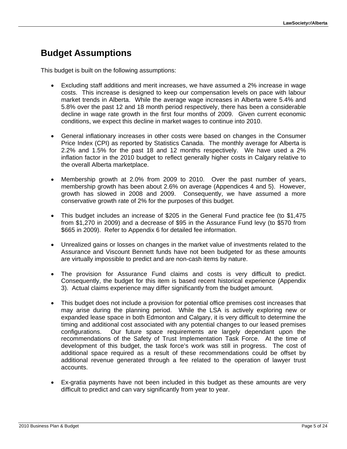## <span id="page-4-0"></span>**Budget Assumptions**

This budget is built on the following assumptions:

- Excluding staff additions and merit increases, we have assumed a 2% increase in wage costs. This increase is designed to keep our compensation levels on pace with labour market trends in Alberta. While the average wage increases in Alberta were 5.4% and 5.8% over the past 12 and 18 month period respectively, there has been a considerable decline in wage rate growth in the first four months of 2009. Given current economic conditions, we expect this decline in market wages to continue into 2010.
- General inflationary increases in other costs were based on changes in the Consumer Price Index (CPI) as reported by Statistics Canada. The monthly average for Alberta is 2.2% and 1.5% for the past 18 and 12 months respectively. We have used a 2% inflation factor in the 2010 budget to reflect generally higher costs in Calgary relative to the overall Alberta marketplace.
- Membership growth at 2.0% from 2009 to 2010. Over the past number of years, membership growth has been about 2.6% on average (Appendices 4 and 5). However, growth has slowed in 2008 and 2009. Consequently, we have assumed a more conservative growth rate of 2% for the purposes of this budget.
- This budget includes an increase of \$205 in the General Fund practice fee (to \$1,475 from \$1,270 in 2009) and a decrease of \$95 in the Assurance Fund levy (to \$570 from \$665 in 2009). Refer to Appendix 6 for detailed fee information.
- Unrealized gains or losses on changes in the market value of investments related to the Assurance and Viscount Bennett funds have not been budgeted for as these amounts are virtually impossible to predict and are non-cash items by nature.
- The provision for Assurance Fund claims and costs is very difficult to predict. Consequently, the budget for this item is based recent historical experience (Appendix 3). Actual claims experience may differ significantly from the budget amount.
- This budget does not include a provision for potential office premises cost increases that may arise during the planning period. While the LSA is actively exploring new or expanded lease space in both Edmonton and Calgary, it is very difficult to determine the timing and additional cost associated with any potential changes to our leased premises configurations. Our future space requirements are largely dependant upon the recommendations of the Safety of Trust Implementation Task Force. At the time of development of this budget, the task force's work was still in progress. The cost of additional space required as a result of these recommendations could be offset by additional revenue generated through a fee related to the operation of lawyer trust accounts.
- Ex-gratia payments have not been included in this budget as these amounts are very difficult to predict and can vary significantly from year to year.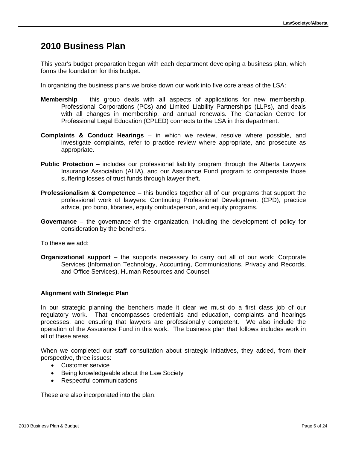### <span id="page-5-0"></span>**2010 Business Plan**

This year's budget preparation began with each department developing a business plan, which forms the foundation for this budget.

In organizing the business plans we broke down our work into five core areas of the LSA:

- **Membership** this group deals with all aspects of applications for new membership, Professional Corporations (PCs) and Limited Liability Partnerships (LLPs), and deals with all changes in membership, and annual renewals. The Canadian Centre for Professional Legal Education (CPLED) connects to the LSA in this department.
- **Complaints & Conduct Hearings** in which we review, resolve where possible, and investigate complaints, refer to practice review where appropriate, and prosecute as appropriate.
- **Public Protection** includes our professional liability program through the Alberta Lawyers Insurance Association (ALIA), and our Assurance Fund program to compensate those suffering losses of trust funds through lawyer theft.
- **Professionalism & Competence** this bundles together all of our programs that support the professional work of lawyers: Continuing Professional Development (CPD), practice advice, pro bono, libraries, equity ombudsperson, and equity programs.
- **Governance** the governance of the organization, including the development of policy for consideration by the benchers.

To these we add:

**Organizational support** – the supports necessary to carry out all of our work: Corporate Services (Information Technology, Accounting, Communications, Privacy and Records, and Office Services), Human Resources and Counsel.

#### **Alignment with Strategic Plan**

In our strategic planning the benchers made it clear we must do a first class job of our regulatory work. That encompasses credentials and education, complaints and hearings processes, and ensuring that lawyers are professionally competent. We also include the operation of the Assurance Fund in this work. The business plan that follows includes work in all of these areas.

When we completed our staff consultation about strategic initiatives, they added, from their perspective, three issues:

- Customer service
- Being knowledgeable about the Law Society
- Respectful communications

These are also incorporated into the plan.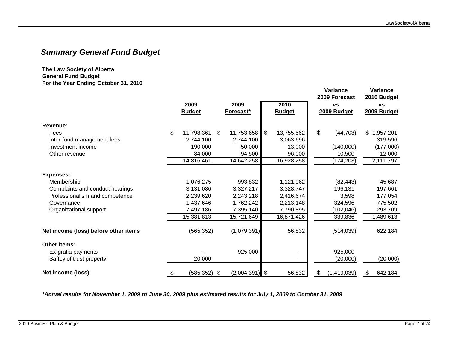### *Summary General Fund Budget*

#### **The Law Society of Alberta General Fund Budget For the Year Ending October 31, 2010**

|                                      |                       |                  |                  | Variance<br>2009 Forecast | Variance<br>2010 Budget |           |
|--------------------------------------|-----------------------|------------------|------------------|---------------------------|-------------------------|-----------|
|                                      | 2009                  | 2009             | 2010             | <b>VS</b>                 | <b>VS</b>               |           |
|                                      | <b>Budget</b>         | Forecast*        | <b>Budget</b>    | 2009 Budget               | 2009 Budget             |           |
| Revenue:                             |                       |                  |                  |                           |                         |           |
| Fees                                 | \$<br>11,798,361      | \$<br>11,753,658 | \$<br>13,755,562 | \$<br>(44, 703)           | \$1,957,201             |           |
| Inter-fund management fees           | 2,744,100             | 2,744,100        | 3,063,696        |                           |                         | 319,596   |
| Investment income                    | 190,000               | 50,000           | 13,000           | (140,000)                 |                         | (177,000) |
| Other revenue                        | 84,000                | 94,500           | 96,000           | 10,500                    |                         | 12,000    |
|                                      | 14,816,461            | 14,642,258       | 16,928,258       | (174, 203)                | 2,111,797               |           |
| <b>Expenses:</b>                     |                       |                  |                  |                           |                         |           |
| Membership                           | 1,076,275             | 993,832          | 1,121,962        | (82, 443)                 |                         | 45,687    |
| Complaints and conduct hearings      | 3,131,086             | 3,327,217        | 3,328,747        | 196,131                   |                         | 197,661   |
| Professionalism and competence       | 2,239,620             | 2,243,218        | 2,416,674        | 3,598                     |                         | 177,054   |
| Governance                           | 1,437,646             | 1,762,242        | 2,213,148        | 324,596                   |                         | 775,502   |
| Organizational support               | 7,497,186             | 7,395,140        | 7,790,895        | (102,046)                 |                         | 293,709   |
|                                      | 15,381,813            | 15,721,649       | 16,871,426       | 339,836                   | 1,489,613               |           |
| Net income (loss) before other items | (565, 352)            | (1,079,391)      | 56,832           | (514, 039)                |                         | 622,184   |
| Other items:                         |                       |                  |                  |                           |                         |           |
| Ex-gratia payments                   |                       | 925,000          |                  | 925,000                   |                         |           |
| Saftey of trust property             | 20,000                |                  |                  | (20,000)                  |                         | (20,000)  |
| Net income (loss)                    | \$<br>$(585, 352)$ \$ | $(2,004,391)$ \$ | 56,832           | \$<br>(1,419,039)         | \$                      | 642,184   |

<span id="page-6-0"></span>*\*Actual results for November 1, 2009 to June 30, 2009 plus estimated results for July 1, 2009 to October 31, 2009*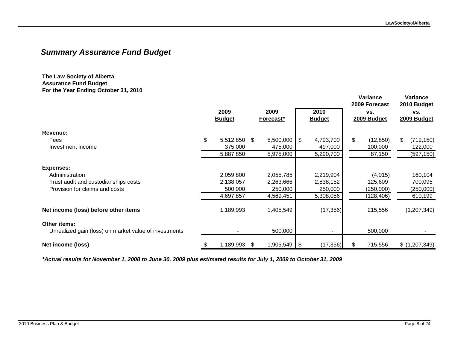**Variance**

**Variance**

### *Summary Assurance Fund Budget*

**The Law Society of Alberta Assurance Fund Budget For the Year Ending October 31, 2010**

|                                                       | 2009<br><b>Budget</b> |      | 2009<br><b>Forecast*</b> |      | 2010<br><b>Budget</b> |    | 1 ui 1ui 1vv<br>2009 Forecast<br>VS.<br>2009 Budget | 2010 Budget<br>VS.<br>2009 Budget |               |
|-------------------------------------------------------|-----------------------|------|--------------------------|------|-----------------------|----|-----------------------------------------------------|-----------------------------------|---------------|
| Revenue:                                              |                       |      |                          |      |                       |    |                                                     |                                   |               |
| Fees                                                  | \$<br>5,512,850       | \$   | 5,500,000                | \$   | 4,793,700             | \$ | (12, 850)                                           | \$                                | (719, 150)    |
| Investment income                                     | 375,000               |      | 475,000                  |      | 497,000               |    | 100,000                                             |                                   | 122,000       |
|                                                       | 5,887,850             |      | 5,975,000                |      | 5,290,700             |    | 87,150                                              |                                   | (597, 150)    |
| <b>Expenses:</b>                                      |                       |      |                          |      |                       |    |                                                     |                                   |               |
| Administration                                        | 2,059,800             |      | 2,055,785                |      | 2,219,904             |    | (4,015)                                             |                                   | 160,104       |
| Trust audit and custodianships costs                  | 2,138,057             |      | 2,263,666                |      | 2,838,152             |    | 125,609                                             |                                   | 700,095       |
| Provision for claims and costs                        | 500,000               |      | 250,000                  |      | 250,000               |    | (250,000)                                           |                                   | (250,000)     |
|                                                       | 4,697,857             |      | 4,569,451                |      | 5,308,056             |    | (128,406)                                           |                                   | 610,199       |
| Net income (loss) before other items                  | 1,189,993             |      | 1,405,549                |      | (17, 356)             |    | 215,556                                             |                                   | (1,207,349)   |
| <b>Other items:</b>                                   |                       |      |                          |      |                       |    |                                                     |                                   |               |
| Unrealized gain (loss) on market value of investments |                       |      | 500,000                  |      |                       |    | 500,000                                             |                                   |               |
| Net income (loss)                                     | \$<br>1,189,993       | - \$ | 1,905,549                | - \$ | (17, 356)             | S. | 715,556                                             |                                   | \$(1,207,349) |

<span id="page-7-0"></span>*\*Actual results for November 1, 2008 to June 30, 2009 plus estimated results for July 1, 2009 to October 31, 2009*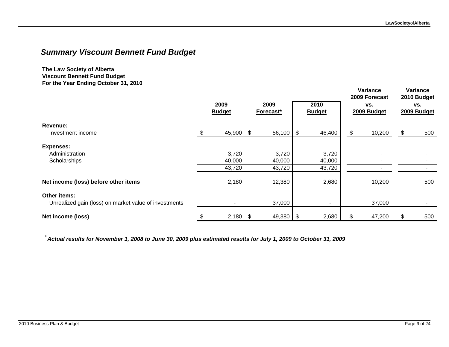### *Summary Viscount Bennett Fund Budget*

**The Law Society of Alberta Viscount Bennett Fund Budget For the Year Ending October 31, 2010**

|                                                                       | 2009<br><b>Budget</b> | 2009<br>Forecast* |        |      | 2010<br><b>Budget</b> | Variance<br>2009 Forecast<br>VS.<br>2009 Budget | Variance<br>2010 Budget<br>VS.<br>2009 Budget |     |
|-----------------------------------------------------------------------|-----------------------|-------------------|--------|------|-----------------------|-------------------------------------------------|-----------------------------------------------|-----|
| Revenue:                                                              |                       |                   |        |      |                       |                                                 |                                               |     |
| Investment income                                                     | \$<br>45,900 \$       |                   | 56,100 | \$   | 46,400                | \$<br>10,200                                    | \$                                            | 500 |
| <b>Expenses:</b>                                                      |                       |                   |        |      |                       |                                                 |                                               |     |
| Administration                                                        | 3,720                 |                   | 3,720  |      | 3,720                 |                                                 |                                               |     |
| Scholarships                                                          | 40,000                |                   | 40,000 |      | 40,000                |                                                 |                                               |     |
|                                                                       | 43,720                |                   | 43,720 |      | 43,720                |                                                 |                                               |     |
| Net income (loss) before other items                                  | 2,180                 |                   | 12,380 |      | 2,680                 | 10,200                                          |                                               | 500 |
| Other items:<br>Unrealized gain (loss) on market value of investments |                       |                   | 37,000 |      | ۰.                    | 37,000                                          |                                               |     |
| Net income (loss)                                                     | \$<br>$2,180$ \$      |                   | 49,380 | l \$ | 2,680                 | 47,200                                          | \$                                            | 500 |

<span id="page-8-0"></span> *\* Actual results for November 1, 2008 to June 30, 2009 plus estimated results for July 1, 2009 to October 31, 2009*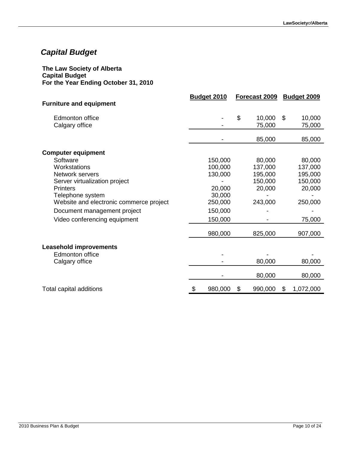# <span id="page-9-0"></span>*Capital Budget*

#### **The Law Society of Alberta Capital Budget For the Year Ending October 31, 2010**

|                                         | <b>Budget 2010</b> | Forecast 2009 | Budget 2009     |
|-----------------------------------------|--------------------|---------------|-----------------|
| <b>Furniture and equipment</b>          |                    |               |                 |
| <b>Edmonton office</b>                  |                    | \$<br>10,000  | \$<br>10,000    |
| Calgary office                          |                    | 75,000        | 75,000          |
|                                         |                    |               |                 |
|                                         |                    | 85,000        | 85,000          |
| <b>Computer equipment</b>               |                    |               |                 |
| Software                                | 150,000            | 80,000        | 80,000          |
| Workstations                            | 100,000            | 137,000       | 137,000         |
| Network servers                         | 130,000            | 195,000       | 195,000         |
| Server virtualization project           |                    | 150,000       | 150,000         |
| <b>Printers</b>                         | 20,000             | 20,000        | 20,000          |
| Telephone system                        | 30,000             |               |                 |
| Website and electronic commerce project | 250,000            | 243,000       | 250,000         |
| Document management project             | 150,000            |               |                 |
| Video conferencing equipment            | 150,000            |               | 75,000          |
|                                         | 980,000            | 825,000       | 907,000         |
|                                         |                    |               |                 |
| <b>Leasehold improvements</b>           |                    |               |                 |
| <b>Edmonton office</b>                  |                    |               |                 |
| Calgary office                          |                    | 80,000        | 80,000          |
|                                         |                    | 80,000        | 80,000          |
| Total capital additions                 | 980,000<br>\$      | \$<br>990,000 | \$<br>1,072,000 |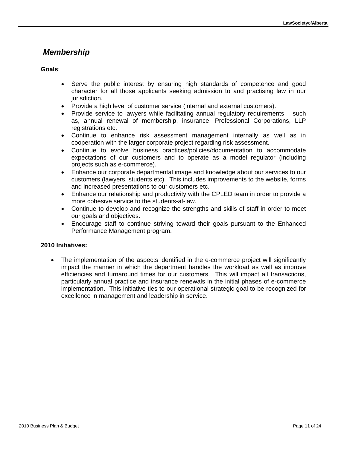### <span id="page-10-0"></span> *Membership*

### **Goals**:

- Serve the public interest by ensuring high standards of competence and good character for all those applicants seeking admission to and practising law in our jurisdiction.
- Provide a high level of customer service (internal and external customers).
- Provide service to lawyers while facilitating annual regulatory requirements such as, annual renewal of membership, insurance, Professional Corporations, LLP registrations etc.
- Continue to enhance risk assessment management internally as well as in cooperation with the larger corporate project regarding risk assessment.
- Continue to evolve business practices/policies/documentation to accommodate expectations of our customers and to operate as a model regulator (including projects such as e-commerce).
- Enhance our corporate departmental image and knowledge about our services to our customers (lawyers, students etc). This includes improvements to the website, forms and increased presentations to our customers etc.
- Enhance our relationship and productivity with the CPLED team in order to provide a more cohesive service to the students-at-law.
- Continue to develop and recognize the strengths and skills of staff in order to meet our goals and objectives.
- Encourage staff to continue striving toward their goals pursuant to the Enhanced Performance Management program.

### **2010 Initiatives:**

 The implementation of the aspects identified in the e-commerce project will significantly impact the manner in which the department handles the workload as well as improve efficiencies and turnaround times for our customers. This will impact all transactions, particularly annual practice and insurance renewals in the initial phases of e-commerce implementation. This initiative ties to our operational strategic goal to be recognized for excellence in management and leadership in service.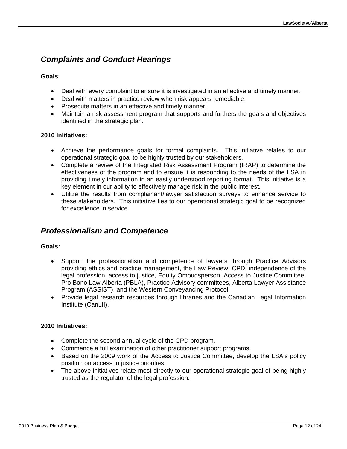### <span id="page-11-0"></span>*Complaints and Conduct Hearings*

#### **Goals**:

- Deal with every complaint to ensure it is investigated in an effective and timely manner.
- Deal with matters in practice review when risk appears remediable.
- Prosecute matters in an effective and timely manner.
- Maintain a risk assessment program that supports and furthers the goals and objectives identified in the strategic plan.

#### **2010 Initiatives:**

- Achieve the performance goals for formal complaints. This initiative relates to our operational strategic goal to be highly trusted by our stakeholders.
- Complete a review of the Integrated Risk Assessment Program (IRAP) to determine the effectiveness of the program and to ensure it is responding to the needs of the LSA in providing timely information in an easily understood reporting format. This initiative is a key element in our ability to effectively manage risk in the public interest.
- Utilize the results from complainant/lawyer satisfaction surveys to enhance service to these stakeholders. This initiative ties to our operational strategic goal to be recognized for excellence in service.

### <span id="page-11-1"></span>*Professionalism and Competence*

#### **Goals:**

- Support the professionalism and competence of lawyers through Practice Advisors providing ethics and practice management, the Law Review, CPD, independence of the legal profession, access to justice, Equity Ombudsperson, Access to Justice Committee, Pro Bono Law Alberta (PBLA), Practice Advisory committees, Alberta Lawyer Assistance Program (ASSIST), and the Western Conveyancing Protocol.
- Provide legal research resources through libraries and the Canadian Legal Information Institute (CanLII).

### **2010 Initiatives:**

- Complete the second annual cycle of the CPD program.
- Commence a full examination of other practitioner support programs.
- Based on the 2009 work of the Access to Justice Committee, develop the LSA's policy position on access to justice priorities.
- The above initiatives relate most directly to our operational strategic goal of being highly trusted as the regulator of the legal profession.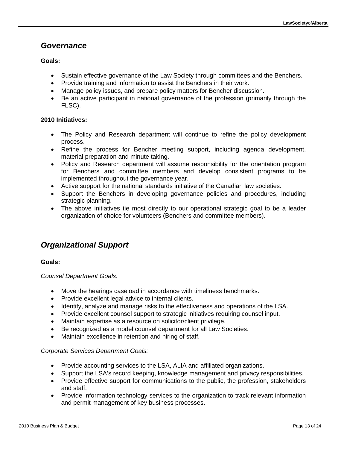### <span id="page-12-0"></span>*Governance*

### **Goals:**

- Sustain effective governance of the Law Society through committees and the Benchers.
- Provide training and information to assist the Benchers in their work.
- Manage policy issues, and prepare policy matters for Bencher discussion.
- Be an active participant in national governance of the profession (primarily through the FLSC).

### **2010 Initiatives:**

- The Policy and Research department will continue to refine the policy development process.
- Refine the process for Bencher meeting support, including agenda development, material preparation and minute taking.
- Policy and Research department will assume responsibility for the orientation program for Benchers and committee members and develop consistent programs to be implemented throughout the governance year.
- Active support for the national standards initiative of the Canadian law societies.
- Support the Benchers in developing governance policies and procedures, including strategic planning.
- The above initiatives tie most directly to our operational strategic goal to be a leader organization of choice for volunteers (Benchers and committee members).

### <span id="page-12-1"></span>*Organizational Support*

### **Goals:**

*Counsel Department Goals:* 

- Move the hearings caseload in accordance with timeliness benchmarks.
- Provide excellent legal advice to internal clients.
- Identify, analyze and manage risks to the effectiveness and operations of the LSA.
- Provide excellent counsel support to strategic initiatives requiring counsel input.
- Maintain expertise as a resource on solicitor/client privilege.
- Be recognized as a model counsel department for all Law Societies.
- Maintain excellence in retention and hiring of staff.

### *Corporate Services Department Goals:*

- Provide accounting services to the LSA, ALIA and affiliated organizations.
- Support the LSA's record keeping, knowledge management and privacy responsibilities.
- Provide effective support for communications to the public, the profession, stakeholders and staff.
- Provide information technology services to the organization to track relevant information and permit management of key business processes.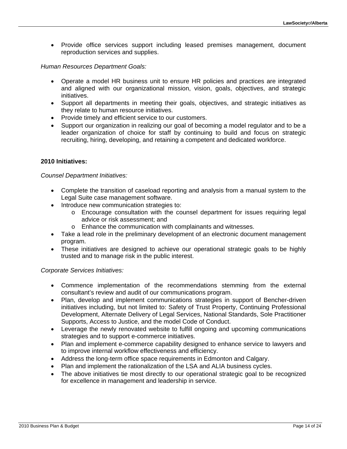• Provide office services support including leased premises management, document reproduction services and supplies.

#### *Human Resources Department Goals:*

- Operate a model HR business unit to ensure HR policies and practices are integrated and aligned with our organizational mission, vision, goals, objectives, and strategic initiatives.
- Support all departments in meeting their goals, objectives, and strategic initiatives as they relate to human resource initiatives.
- Provide timely and efficient service to our customers.
- Support our organization in realizing our goal of becoming a model regulator and to be a leader organization of choice for staff by continuing to build and focus on strategic recruiting, hiring, developing, and retaining a competent and dedicated workforce.

#### **2010 Initiatives:**

#### *Counsel Department Initiatives:*

- Complete the transition of caseload reporting and analysis from a manual system to the Legal Suite case management software.
- Introduce new communication strategies to:
	- o Encourage consultation with the counsel department for issues requiring legal advice or risk assessment; and
	- o Enhance the communication with complainants and witnesses.
- Take a lead role in the preliminary development of an electronic document management program.
- These initiatives are designed to achieve our operational strategic goals to be highly trusted and to manage risk in the public interest.

#### *Corporate Services Initiatives:*

- Commence implementation of the recommendations stemming from the external consultant's review and audit of our communications program.
- Plan, develop and implement communications strategies in support of Bencher-driven initiatives including, but not limited to: Safety of Trust Property, Continuing Professional Development, Alternate Delivery of Legal Services, National Standards, Sole Practitioner Supports, Access to Justice, and the model Code of Conduct.
- Leverage the newly renovated website to fulfill ongoing and upcoming communications strategies and to support e-commerce initiatives.
- Plan and implement e-commerce capability designed to enhance service to lawyers and to improve internal workflow effectiveness and efficiency.
- Address the long-term office space requirements in Edmonton and Calgary.
- Plan and implement the rationalization of the LSA and ALIA business cycles.
- The above initiatives tie most directly to our operational strategic goal to be recognized for excellence in management and leadership in service.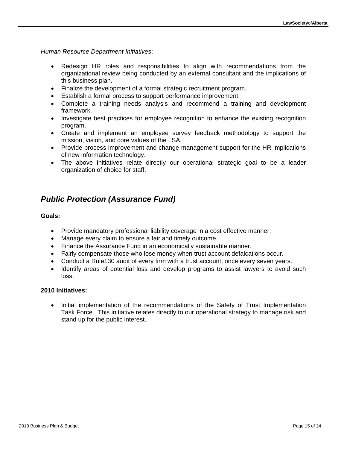*Human Resource Department Initiatives*:

- Redesign HR roles and responsibilities to align with recommendations from the organizational review being conducted by an external consultant and the implications of this business plan.
- Finalize the development of a formal strategic recruitment program.
- Establish a formal process to support performance improvement.
- Complete a training needs analysis and recommend a training and development framework.
- Investigate best practices for employee recognition to enhance the existing recognition program.
- Create and implement an employee survey feedback methodology to support the mission, vision, and core values of the LSA.
- Provide process improvement and change management support for the HR implications of new information technology.
- The above initiatives relate directly our operational strategic goal to be a leader organization of choice for staff.

### <span id="page-14-0"></span>*Public Protection (Assurance Fund)*

#### **Goals:**

- Provide mandatory professional liability coverage in a cost effective manner.
- Manage every claim to ensure a fair and timely outcome.
- Finance the Assurance Fund in an economically sustainable manner.
- Fairly compensate those who lose money when trust account defalcations occur.
- Conduct a Rule130 audit of every firm with a trust account, once every seven years.
- Identify areas of potential loss and develop programs to assist lawyers to avoid such loss.

### **2010 Initiatives:**

 Initial implementation of the recommendations of the Safety of Trust Implementation Task Force. This initiative relates directly to our operational strategy to manage risk and stand up for the public interest.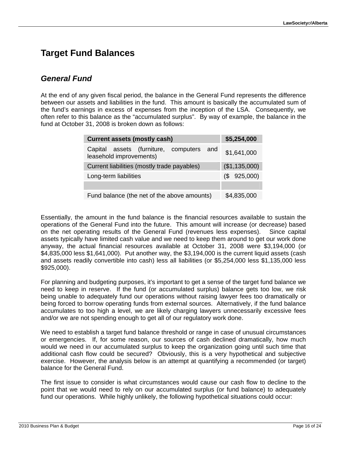# <span id="page-15-0"></span>**Target Fund Balances**

### <span id="page-15-1"></span>*General Fund*

At the end of any given fiscal period, the balance in the General Fund represents the difference between our assets and liabilities in the fund. This amount is basically the accumulated sum of the fund's earnings in excess of expenses from the inception of the LSA. Consequently, we often refer to this balance as the "accumulated surplus". By way of example, the balance in the fund at October 31, 2008 is broken down as follows:

| <b>Current assets (mostly cash)</b>                                    | \$5,254,000 |  |  |  |  |  |  |  |  |  |  |  |
|------------------------------------------------------------------------|-------------|--|--|--|--|--|--|--|--|--|--|--|
| Capital assets (furniture, computers<br>and<br>leasehold improvements) | \$1,641,000 |  |  |  |  |  |  |  |  |  |  |  |
| Current liabilities (mostly trade payables)<br>(\$1,135,000)           |             |  |  |  |  |  |  |  |  |  |  |  |
| Long-term liabilities                                                  | (\$925,000) |  |  |  |  |  |  |  |  |  |  |  |
|                                                                        |             |  |  |  |  |  |  |  |  |  |  |  |
| Fund balance (the net of the above amounts)                            | \$4,835,000 |  |  |  |  |  |  |  |  |  |  |  |

Essentially, the amount in the fund balance is the financial resources available to sustain the operations of the General Fund into the future. This amount will increase (or decrease) based on the net operating results of the General Fund (revenues less expenses). Since capital assets typically have limited cash value and we need to keep them around to get our work done anyway, the actual financial resources available at October 31, 2008 were \$3,194,000 (or \$4,835,000 less \$1,641,000). Put another way, the \$3,194,000 is the current liquid assets (cash and assets readily convertible into cash) less all liabilities (or \$5,254,000 less \$1,135,000 less \$925,000).

For planning and budgeting purposes, it's important to get a sense of the target fund balance we need to keep in reserve. If the fund (or accumulated surplus) balance gets too low, we risk being unable to adequately fund our operations without raising lawyer fees too dramatically or being forced to borrow operating funds from external sources. Alternatively, if the fund balance accumulates to too high a level, we are likely charging lawyers unnecessarily excessive fees and/or we are not spending enough to get all of our regulatory work done.

We need to establish a target fund balance threshold or range in case of unusual circumstances or emergencies. If, for some reason, our sources of cash declined dramatically, how much would we need in our accumulated surplus to keep the organization going until such time that additional cash flow could be secured? Obviously, this is a very hypothetical and subjective exercise. However, the analysis below is an attempt at quantifying a recommended (or target) balance for the General Fund.

The first issue to consider is what circumstances would cause our cash flow to decline to the point that we would need to rely on our accumulated surplus (or fund balance) to adequately fund our operations. While highly unlikely, the following hypothetical situations could occur: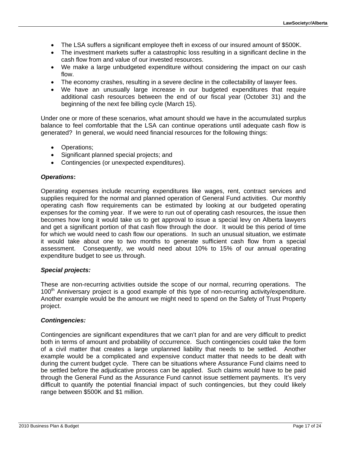- The LSA suffers a significant employee theft in excess of our insured amount of \$500K.
- The investment markets suffer a catastrophic loss resulting in a significant decline in the cash flow from and value of our invested resources.
- We make a large unbudgeted expenditure without considering the impact on our cash flow.
- The economy crashes, resulting in a severe decline in the collectability of lawyer fees.
- We have an unusually large increase in our budgeted expenditures that require additional cash resources between the end of our fiscal year (October 31) and the beginning of the next fee billing cycle (March 15).

Under one or more of these scenarios, what amount should we have in the accumulated surplus balance to feel comfortable that the LSA can continue operations until adequate cash flow is generated? In general, we would need financial resources for the following things:

- Operations;
- Significant planned special projects; and
- Contingencies (or unexpected expenditures).

#### *Operations***:**

Operating expenses include recurring expenditures like wages, rent, contract services and supplies required for the normal and planned operation of General Fund activities. Our monthly operating cash flow requirements can be estimated by looking at our budgeted operating expenses for the coming year. If we were to run out of operating cash resources, the issue then becomes how long it would take us to get approval to issue a special levy on Alberta lawyers and get a significant portion of that cash flow through the door. It would be this period of time for which we would need to cash flow our operations. In such an unusual situation, we estimate it would take about one to two months to generate sufficient cash flow from a special assessment. Consequently, we would need about 10% to 15% of our annual operating expenditure budget to see us through.

#### *Special projects:*

These are non-recurring activities outside the scope of our normal, recurring operations. The 100<sup>th</sup> Anniversary project is a good example of this type of non-recurring activity/expenditure. Another example would be the amount we might need to spend on the Safety of Trust Property project.

#### *Contingencies:*

Contingencies are significant expenditures that we can't plan for and are very difficult to predict both in terms of amount and probability of occurrence. Such contingencies could take the form of a civil matter that creates a large unplanned liability that needs to be settled. Another example would be a complicated and expensive conduct matter that needs to be dealt with during the current budget cycle. There can be situations where Assurance Fund claims need to be settled before the adjudicative process can be applied. Such claims would have to be paid through the General Fund as the Assurance Fund cannot issue settlement payments. It's very difficult to quantify the potential financial impact of such contingencies, but they could likely range between \$500K and \$1 million.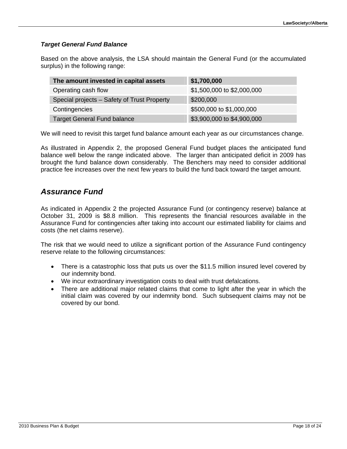### *Target General Fund Balance*

Based on the above analysis, the LSA should maintain the General Fund (or the accumulated surplus) in the following range:

| The amount invested in capital assets       | \$1,700,000                |
|---------------------------------------------|----------------------------|
| Operating cash flow                         | \$1,500,000 to \$2,000,000 |
| Special projects - Safety of Trust Property | \$200,000                  |
| Contingencies                               | \$500,000 to \$1,000,000   |
| <b>Target General Fund balance</b>          | \$3,900,000 to \$4,900,000 |

We will need to revisit this target fund balance amount each year as our circumstances change.

As illustrated in Appendix 2, the proposed General Fund budget places the anticipated fund balance well below the range indicated above. The larger than anticipated deficit in 2009 has brought the fund balance down considerably. The Benchers may need to consider additional practice fee increases over the next few years to build the fund back toward the target amount.

### <span id="page-17-0"></span>*Assurance Fund*

As indicated in Appendix 2 the projected Assurance Fund (or contingency reserve) balance at October 31, 2009 is \$8.8 million. This represents the financial resources available in the Assurance Fund for contingencies after taking into account our estimated liability for claims and costs (the net claims reserve).

The risk that we would need to utilize a significant portion of the Assurance Fund contingency reserve relate to the following circumstances:

- There is a catastrophic loss that puts us over the \$11.5 million insured level covered by our indemnity bond.
- We incur extraordinary investigation costs to deal with trust defalcations.
- There are additional major related claims that come to light after the year in which the initial claim was covered by our indemnity bond. Such subsequent claims may not be covered by our bond.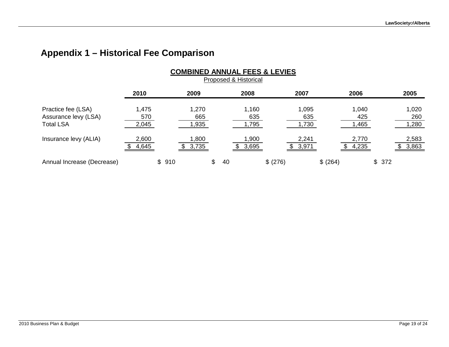# **Appendix 1 – Historical Fee Comparison**

<span id="page-18-0"></span>

|                                                                | <b>COMBINED ANNUAL FEES &amp; LEVIES</b><br>Proposed & Historical |       |                       |    |    |                       |          |                       |          |                       |       |                       |  |  |  |
|----------------------------------------------------------------|-------------------------------------------------------------------|-------|-----------------------|----|----|-----------------------|----------|-----------------------|----------|-----------------------|-------|-----------------------|--|--|--|
|                                                                | 2010                                                              |       | 2009                  |    |    | 2008                  |          | 2007                  |          | 2006                  |       | 2005                  |  |  |  |
| Practice fee (LSA)<br>Assurance levy (LSA)<br><b>Total LSA</b> | 1,475<br>570<br>2,045                                             |       | 1,270<br>665<br>1,935 |    |    | 1,160<br>635<br>1,795 |          | 1,095<br>635<br>1,730 |          | 1,040<br>425<br>1,465 |       | 1,020<br>260<br>1,280 |  |  |  |
| Insurance levy (ALIA)                                          | 2,600<br>4,645                                                    |       | 1,800<br>3,735        |    |    | 1,900<br>3,695        |          | 2,241<br>3,971        |          | 2,770<br>4,235        |       | 2,583<br>3,863        |  |  |  |
| Annual Increase (Decrease)                                     |                                                                   | \$910 |                       | \$ | 40 |                       | \$ (276) |                       | \$ (264) |                       | \$372 |                       |  |  |  |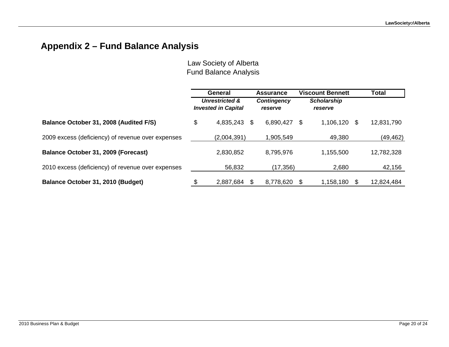# **Appendix 2 – Fund Balance Analysis**

<span id="page-19-0"></span>

|                                                   | General                                                 |     | <b>Assurance</b>       |                               | <b>Viscount Bennett</b> |      | <b>Total</b> |
|---------------------------------------------------|---------------------------------------------------------|-----|------------------------|-------------------------------|-------------------------|------|--------------|
|                                                   | <b>Unrestricted &amp;</b><br><b>Invested in Capital</b> |     | Contingency<br>reserve | <b>Scholarship</b><br>reserve |                         |      |              |
| Balance October 31, 2008 (Audited F/S)            | \$<br>4,835,243                                         | S.  | 6,890,427              | \$                            | 1,106,120               | - \$ | 12,831,790   |
| 2009 excess (deficiency) of revenue over expenses | (2,004,391)                                             |     | 1,905,549              |                               | 49,380                  |      | (49, 462)    |
| Balance October 31, 2009 (Forecast)               | 2,830,852                                               |     | 8,795,976              |                               | 1,155,500               |      | 12,782,328   |
| 2010 excess (deficiency) of revenue over expenses | 56,832                                                  |     | (17, 356)              |                               | 2,680                   |      | 42,156       |
| Balance October 31, 2010 (Budget)                 | 2,887,684                                               | \$. | 8,778,620              |                               | 1,158,180               |      | 12,824,484   |

Law Society of Alberta Fund Balance Analysis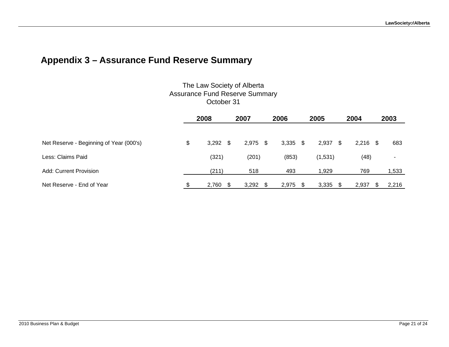# **Appendix 3 – Assurance Fund Reserve Summary**

### The Law Society of Alberta Assurance Fund Reserve Summary October 31

<span id="page-20-0"></span>

|                                         | 2008             |  | 2007  | 2006 |            |  | 2005    |     | 2004  |      | 2003                     |
|-----------------------------------------|------------------|--|-------|------|------------|--|---------|-----|-------|------|--------------------------|
| Net Reserve - Beginning of Year (000's) | \$<br>$3,292$ \$ |  | 2,975 | - \$ | $3,335$ \$ |  | 2,937   | \$. | 2,216 | - \$ | 683                      |
| Less: Claims Paid                       | (321)            |  | (201) |      | (853)      |  | (1,531) |     | (48)  |      | $\overline{\phantom{0}}$ |
| Add: Current Provision                  | (211)            |  | 518   |      | 493        |  | 1,929   |     | 769   |      | ,533                     |
| Net Reserve - End of Year               | \$<br>2,760      |  | 3,292 | S    | 2,975      |  | 3,335   |     | 2,937 |      | 2,216                    |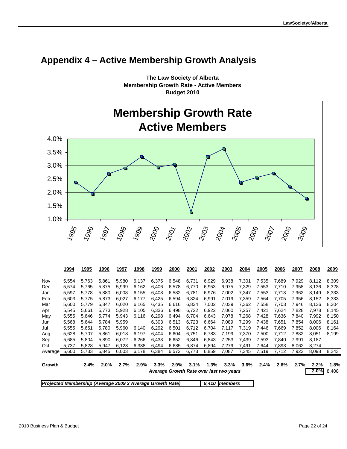

# <span id="page-21-0"></span>**Appendix 4 – Active Membership Growth Analysis**

**The Law Society of Alberta Membership Growth Rate - Active Members Budget 2010**

|                                                           | 1994  | 1995  | 1996  | 1997  | 1998  | 1999  | 2000  | 2001  | 2002  | 2003                                    | 2004  | 2005  | 2006  | 2007  | 2008  | 2009  |
|-----------------------------------------------------------|-------|-------|-------|-------|-------|-------|-------|-------|-------|-----------------------------------------|-------|-------|-------|-------|-------|-------|
| Nov                                                       | 5,554 | 5.763 | 5.861 | 5.980 | 6,137 | 6,375 | 6,548 | 6,731 | 6,929 | 6,938                                   | 7,301 | 7,535 | 7.689 | 7,929 | 8.112 | 8,309 |
| Dec                                                       | 5,574 | 5,765 | 5,875 | 5,999 | 6,162 | 6,406 | 6,578 | 6,770 | 6,953 | 6,975                                   | 7,329 | 7,553 | 7,710 | 7,958 | 8,136 | 8,328 |
| Jan                                                       | 5,597 | 5.778 | 5,880 | 6,008 | 6,155 | 6,408 | 6,582 | 6,781 | 6,976 | 7,002                                   | 7,347 | 7,553 | 7,713 | 7,962 | 8.149 | 8,333 |
| Feb                                                       | 5,603 | 5.775 | 5,873 | 6,027 | 6,177 | 6,425 | 6,594 | 6,824 | 6,991 | 7,019                                   | 7,359 | 7,564 | 7,705 | 7,956 | 8,152 | 8,333 |
| Mar                                                       | 5,600 | 5,779 | 5.847 | 6,020 | 6,165 | 6,435 | 6,616 | 6,834 | 7,002 | 7,039                                   | 7,362 | 7,558 | 7.703 | 7,946 | 8,136 | 8,304 |
| Apr                                                       | 5,545 | 5.661 | 5.773 | 5.928 | 6.105 | 6,336 | 6,498 | 6,722 | 6,922 | 7,060                                   | 7,257 | 7,421 | 7,624 | 7.828 | 7.978 | 8,145 |
| May                                                       | 5,555 | 5,646 | 5,774 | 5,943 | 6,116 | 6,298 | 6,494 | 6,704 | 6,643 | 7,078                                   | 7,268 | 7,428 | 7,636 | 7,840 | 7,992 | 8,150 |
| Jun                                                       | 5,568 | 5,644 | 5,784 | 5,959 |       | 6,303 | 6,513 | 6,723 | 6,664 | 7,089                                   | 7,299 | 7,438 | 7,651 | 7,854 | 8,006 | 8,161 |
| Jul                                                       | 5,555 | 5.651 | 5.780 | 5.960 | 6,140 | 6,292 | 6,501 | 6.712 | 6.704 | 7,117                                   | 7,319 | 7.446 | 7.669 | 7.852 | 8.006 | 8,164 |
| Aug                                                       | 5,628 | 5.707 | 5,861 | 6,018 | 6,197 | 6,404 | 6,604 | 6,751 | 6,783 | 7,199                                   | 7,370 | 7,500 | 7,712 | 7,882 | 8,051 | 8,199 |
| Sep                                                       | 5,685 | 5.804 | 5.890 | 6.072 | 6,266 | 6,433 | 6,652 | 6,846 | 6,843 | 7,253                                   | 7,439 | 7,593 | 7.840 | 7.991 | 8.187 |       |
| Oct                                                       | 5,737 | 5,828 | 5,947 | 6,123 | 6,338 | 6,494 | 6,685 | 6,874 | 6,894 | 7,279                                   | 7,491 | 7,644 | 7,893 | 8,062 | 8,274 |       |
| Average                                                   | 5,600 | 5,733 | 5,845 | 6,003 | 6,178 | 6,384 | 6,572 | 6,773 | 6,859 | 7,087                                   | 7,345 | 7,519 | 7,712 | 7,922 | 8,098 | 8,243 |
|                                                           |       |       |       |       |       |       |       |       |       |                                         |       |       |       |       |       |       |
| Growth                                                    |       | 2.4%  | 2.0%  | 2.7%  | 2.9%  | 3.3%  | 2.9%  | 3.1%  | 1.3%  | 3.3%                                    | 3.6%  | 2.4%  | 2.6%  | 2.7%  | 2.2%  | 1.8%  |
|                                                           |       |       |       |       |       |       |       |       |       | Average Growth Rate over last two years |       |       |       |       | 2.0%  | 8,408 |
| Projected Membership (Average 2009 x Average Growth Rate) |       |       |       |       |       |       |       |       |       | 8,410 members                           |       |       |       |       |       |       |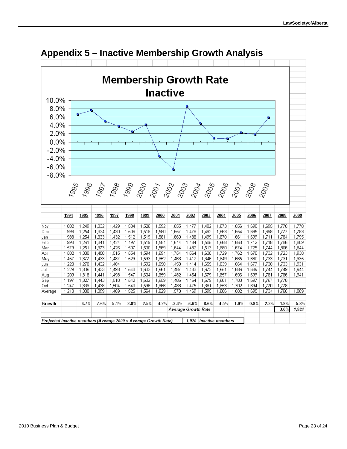<span id="page-22-0"></span>

### **Appendix 5 – Inactive Membership Growth Analysis**